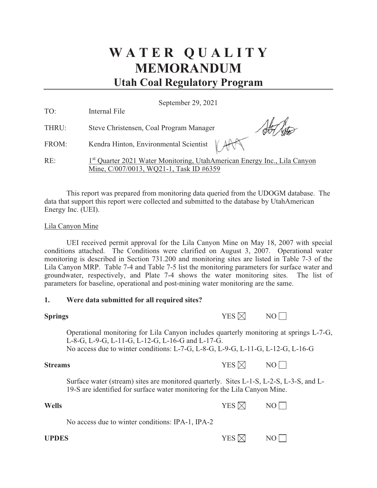# **W A T E R Q U A L I T Y MEMORANDUM Utah Coal Regulatory Program**

September 29, 2021

| TO: | Internal File |  |
|-----|---------------|--|
|     |               |  |

THRU: Steve Christensen, Coal Program Manager

FROM: Kendra Hinton, Environmental Scientist

Alto

RE: 1<sup>st</sup> Quarter 2021 Water Monitoring, UtahAmerican Energy Inc., Lila Canyon Mine, C/007/0013, WQ21-1, Task ID #6359

This report was prepared from monitoring data queried from the UDOGM database. The data that support this report were collected and submitted to the database by UtahAmerican Energy Inc. (UEI).

### Lila Canyon Mine

UEI received permit approval for the Lila Canyon Mine on May 18, 2007 with special conditions attached. The Conditions were clarified on August 3, 2007. Operational water monitoring is described in Section 731.200 and monitoring sites are listed in Table 7-3 of the Lila Canyon MRP. Table 7-4 and Table 7-5 list the monitoring parameters for surface water and groundwater, respectively, and Plate 7-4 shows the water monitoring sites. The list of parameters for baseline, operational and post-mining water monitoring are the same.

# **1. Were data submitted for all required sites?**

| <b>Springs</b> | YES $\boxtimes$ | NO |
|----------------|-----------------|----|
|                |                 |    |

Operational monitoring for Lila Canyon includes quarterly monitoring at springs L-7-G, L-8-G, L-9-G, L-11-G, L-12-G, L-16-G and L-17-G. No access due to winter conditions: L-7-G, L-8-G, L-9-G, L-11-G, L-12-G, L-16-G

**Streams** YES  $\times$  NO

Surface water (stream) sites are monitored quarterly. Sites L-1-S, L-2-S, L-3-S, and L-19-S are identified for surface water monitoring for the Lila Canyon Mine.

| Wells | YES $\boxtimes$ | NO |
|-------|-----------------|----|
|       |                 |    |

No access due to winter conditions: IPA-1, IPA-2

**UPDES** YES  $\boxtimes$  NO  $\Box$